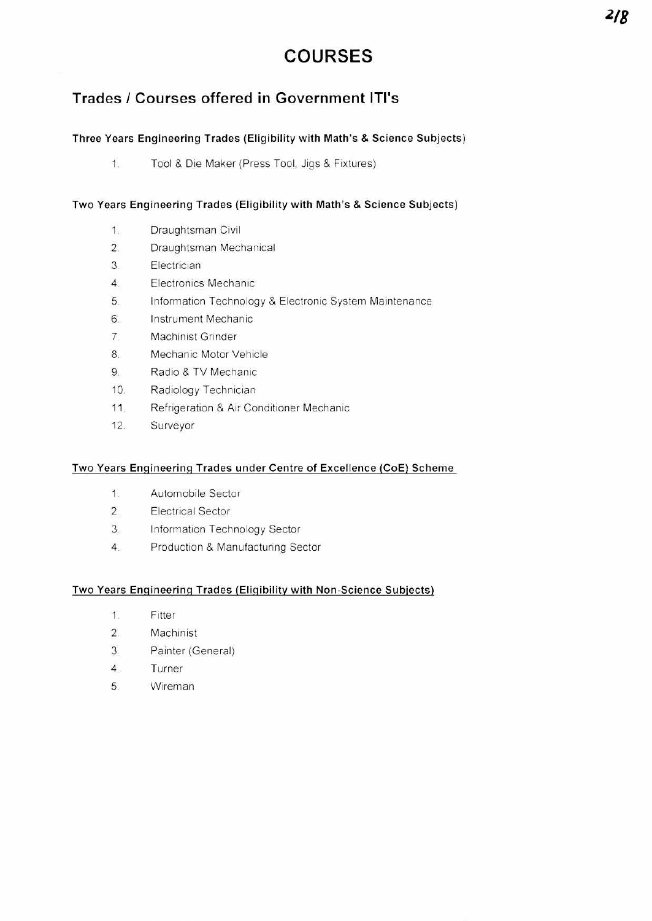# **COURSES**

# **Trades / Courses offered in Government ITI's**

## **Three Years Engineering Trades (Eligibility with Math's & Science Subjects)**

 $1.$ Tool & Die Maker (Press Tool. Jigs & Fixtures)

# **Two Years Engineering Trades (Eligibility with Math's & Science Subjects)**

- 1. Draughtsman Civil
- 2. Draughtsman Mechanical
- 3 Electrician
- 4 Electronics Mechanic
- 5. Information Technology & Electronic System Maintenance
- 6. Instrument Mechanic
- 7 Machinist Grinder
- 8. Mechanic Motor Vehicle
- 9. Radio & TV Mechanic
- 10. Radiology Technician
- 11. Refrigeration & Air Conditioner Mechanic
- 12. Surveyor

#### **Two Years Engineering Trades under Centre of Excellence (CoE) Scheme**

- 1 Automobile Sector
- 2. Electrical Sector
- 3. Information Technology Sector
- 4. Production & Manufacturing Sector

#### **Two Years Engineering Trades (Eligibility with Non-Science Subjects)**

- 1 Fitter
- 2. Machinist
- 3 Painter (General)
- 4. Turner
- 5. Wireman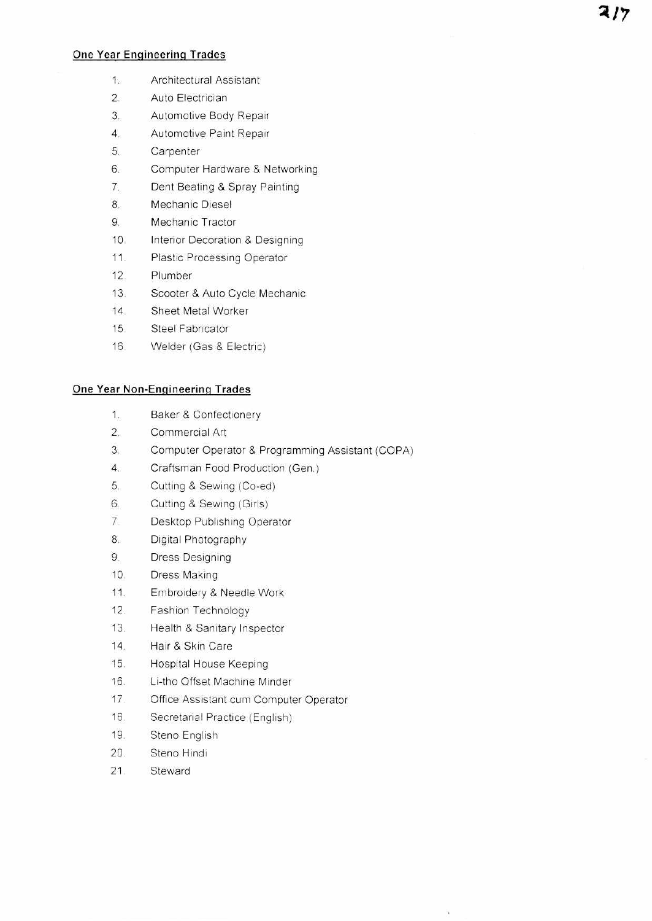#### **One Year Engineering Trades**

- 1. Architectural Assistant
- 2. Auto Electrician
- 3. Automotive Body Repair
- 4. Automotive Paint Repair
- 5. Carpenter
- 6. Computer Hardware & Networking
- 7. Dent Beating & Spray Painting
- 8. Mechanic Diesel
- 9. Mechanic Tractor
- 10. Interior Decoration & Designing
- 11. Plastic Processing Operator
- 12. Plumber
- 13. Scooter & Auto Cycle Mechanic
- 14 Sheet Metal Worker
- 15 Steel Fabricator
- 16 Welder (Gas & Electric)

#### **One Year Non-Engineering Trades**

- 1. Baker & Confectionery
- 2. Commercial Art
- 3. Computer Operator & Programming Assistant (COPA)
- 4. Craftsman Food Production (Gen.)
- 5. Cutting & Sewing (Co-ed)
- 6. Cutting & Sewing (Girls)
- 7 Desktop Publishing Operator
- 8. Digital Photography
- 9. Dress Designing
- 10. Dress Making
- 11. Embroidery & Needle Work
- 12. Fashion Technology
- 13. Health & Sanitary Inspector
- 14. Hair & Skin Care
- 15. Hospital House Keeping
- 16. Li-tho Offset Machine Minder
- 17. Office Assistant cum Computer Operator
- 18. Secretarial Practice (English)
- 19. Steno English
- 20. Steno Hindi
- 21 Steward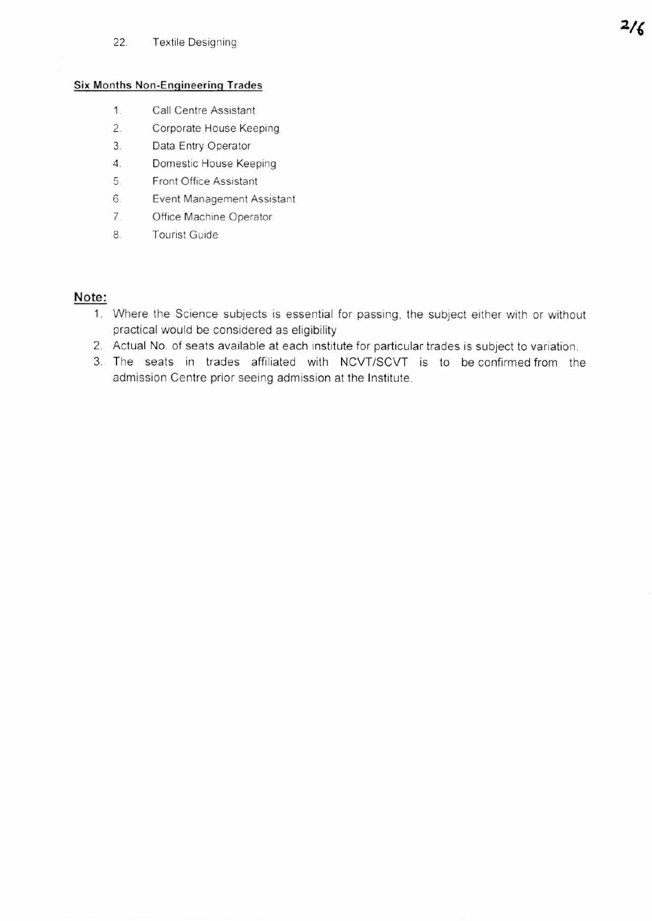#### 22. Textile Designing

#### **Six Months Non-Engineering Trades**

- 1. **Call Centre Assistant**
- 2. Corporate House Keeping
- 3. Data Entry Operator
- 4. Domestic House Keeping
- 5 Front Office Assistant
- 6. Event Management Assistant
- 7. Office Machine Operator
- 8. Tourist Guide

## **Note:**

- 1. Where the Science subjects is essential for passing. the subject either with or without practical would be considered as eligibility
- 2. Actual No. of seats available at each institute for particular trades is subject to variation.
- 3. The seats in trades affiliated with NCVT/SCVT is to be confirmed from the admission Centre prior seeing admission at the Institute.